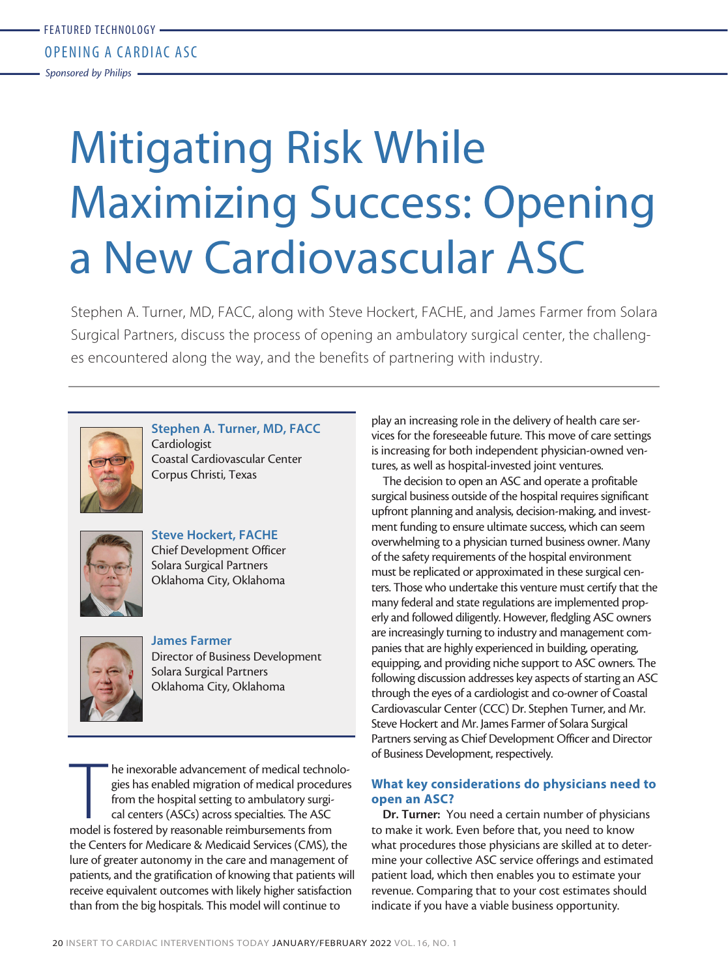Mitigating Risk While Maximizing Success: Opening a New Cardiovascular ASC

Stephen A. Turner, MD, FACC, along with Steve Hockert, FACHE, and James Farmer from Solara Surgical Partners, discuss the process of opening an ambulatory surgical center, the challenges encountered along the way, and the benefits of partnering with industry.



**Stephen A. Turner, MD, FACC** Cardiologist Coastal Cardiovascular Center Corpus Christi, Texas



**Steve Hockert, FACHE** Chief Development Officer Solara Surgical Partners Oklahoma City, Oklahoma



**James Farmer** Director of Business Development Solara Surgical Partners Oklahoma City, Oklahoma

The inexorable advancement of medical technogies has enabled migration of medical procedurfrom the hospital setting to ambulatory surgical centers (ASCs) across specialties. The ASC model is fostered by reasonable reimburs he inexorable advancement of medical technologies has enabled migration of medical procedures from the hospital setting to ambulatory surgical centers (ASCs) across specialties. The ASC the Centers for Medicare & Medicaid Services (CMS), the lure of greater autonomy in the care and management of patients, and the gratification of knowing that patients will receive equivalent outcomes with likely higher satisfaction than from the big hospitals. This model will continue to

play an increasing role in the delivery of health care services for the foreseeable future. This move of care settings is increasing for both independent physician-owned ventures, as well as hospital-invested joint ventures.

The decision to open an ASC and operate a profitable surgical business outside of the hospital requires significant upfront planning and analysis, decision-making, and investment funding to ensure ultimate success, which can seem overwhelming to a physician turned business owner. Many of the safety requirements of the hospital environment must be replicated or approximated in these surgical centers. Those who undertake this venture must certify that the many federal and state regulations are implemented properly and followed diligently. However, fledgling ASC owners are increasingly turning to industry and management companies that are highly experienced in building, operating, equipping, and providing niche support to ASC owners. The following discussion addresses key aspects of starting an ASC through the eyes of a cardiologist and co-owner of Coastal Cardiovascular Center (CCC) Dr. Stephen Turner, and Mr. Steve Hockert and Mr. James Farmer of Solara Surgical Partners serving as Chief Development Officer and Director of Business Development, respectively.

# **What key considerations do physicians need to open an ASC?**

**Dr. Turner:** You need a certain number of physicians to make it work. Even before that, you need to know what procedures those physicians are skilled at to determine your collective ASC service offerings and estimated patient load, which then enables you to estimate your revenue. Comparing that to your cost estimates should indicate if you have a viable business opportunity.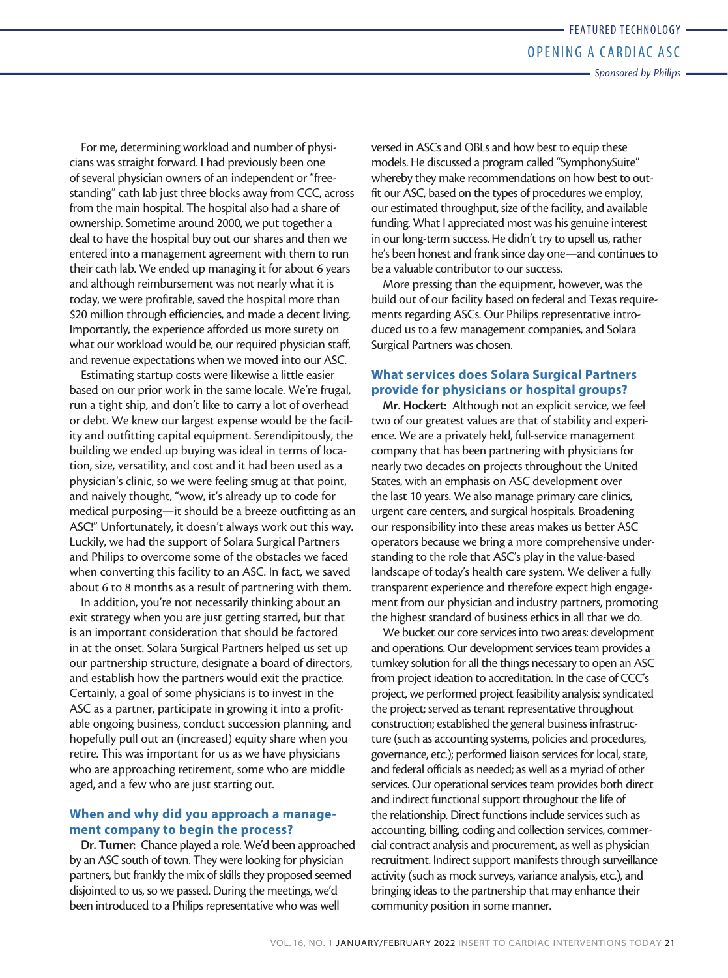For me, determining workload and number of physicians was straight forward. I had previously been one of several physician owners of an independent or "freestanding" cath lab just three blocks away from CCC, across from the main hospital. The hospital also had a share of ownership. Sometime around 2000, we put together a deal to have the hospital buy out our shares and then we entered into a management agreement with them to run their cath lab. We ended up managing it for about 6 years and although reimbursement was not nearly what it is today, we were profitable, saved the hospital more than \$20 million through efficiencies, and made a decent living. Importantly, the experience afforded us more surety on what our workload would be, our required physician staff, and revenue expectations when we moved into our ASC.

Estimating startup costs were likewise a little easier based on our prior work in the same locale. We're frugal, run a tight ship, and don't like to carry a lot of overhead or debt. We knew our largest expense would be the facility and outfitting capital equipment. Serendipitously, the building we ended up buying was ideal in terms of location, size, versatility, and cost and it had been used as a physician's clinic, so we were feeling smug at that point, and naively thought, "wow, it's already up to code for medical purposing—it should be a breeze outfitting as an ASC!" Unfortunately, it doesn't always work out this way. Luckily, we had the support of Solara Surgical Partners and Philips to overcome some of the obstacles we faced when converting this facility to an ASC. In fact, we saved about 6 to 8 months as a result of partnering with them.

In addition, you're not necessarily thinking about an exit strategy when you are just getting started, but that is an important consideration that should be factored in at the onset. Solara Surgical Partners helped us set up our partnership structure, designate a board of directors, and establish how the partners would exit the practice. Certainly, a goal of some physicians is to invest in the ASC as a partner, participate in growing it into a profitable ongoing business, conduct succession planning, and hopefully pull out an (increased) equity share when you retire. This was important for us as we have physicians who are approaching retirement, some who are middle aged, and a few who are just starting out.

## **When and why did you approach a management company to begin the process?**

**Dr. Turner:** Chance played a role. We'd been approached by an ASC south of town. They were looking for physician partners, but frankly the mix of skills they proposed seemed disjointed to us, so we passed. During the meetings, we'd been introduced to a Philips representative who was well

versed in ASCs and OBLs and how best to equip these models. He discussed a program called "SymphonySuite" whereby they make recommendations on how best to outfit our ASC, based on the types of procedures we employ, our estimated throughput, size of the facility, and available funding. What I appreciated most was his genuine interest in our long-term success. He didn't try to upsell us, rather he's been honest and frank since day one—and continues to be a valuable contributor to our success.

More pressing than the equipment, however, was the build out of our facility based on federal and Texas requirements regarding ASCs. Our Philips representative introduced us to a few management companies, and Solara Surgical Partners was chosen.

## **What services does Solara Surgical Partners provide for physicians or hospital groups?**

**Mr. Hockert:** Although not an explicit service, we feel two of our greatest values are that of stability and experience. We are a privately held, full-service management company that has been partnering with physicians for nearly two decades on projects throughout the United States, with an emphasis on ASC development over the last 10 years. We also manage primary care clinics, urgent care centers, and surgical hospitals. Broadening our responsibility into these areas makes us better ASC operators because we bring a more comprehensive understanding to the role that ASC's play in the value-based landscape of today's health care system. We deliver a fully transparent experience and therefore expect high engagement from our physician and industry partners, promoting the highest standard of business ethics in all that we do.

We bucket our core services into two areas: development and operations. Our development services team provides a turnkey solution for all the things necessary to open an ASC from project ideation to accreditation. In the case of CCC's project, we performed project feasibility analysis; syndicated the project; served as tenant representative throughout construction; established the general business infrastructure (such as accounting systems, policies and procedures, governance, etc.); performed liaison services for local, state, and federal officials as needed; as well as a myriad of other services. Our operational services team provides both direct and indirect functional support throughout the life of the relationship. Direct functions include services such as accounting, billing, coding and collection services, commercial contract analysis and procurement, as well as physician recruitment. Indirect support manifests through surveillance activity (such as mock surveys, variance analysis, etc.), and bringing ideas to the partnership that may enhance their community position in some manner.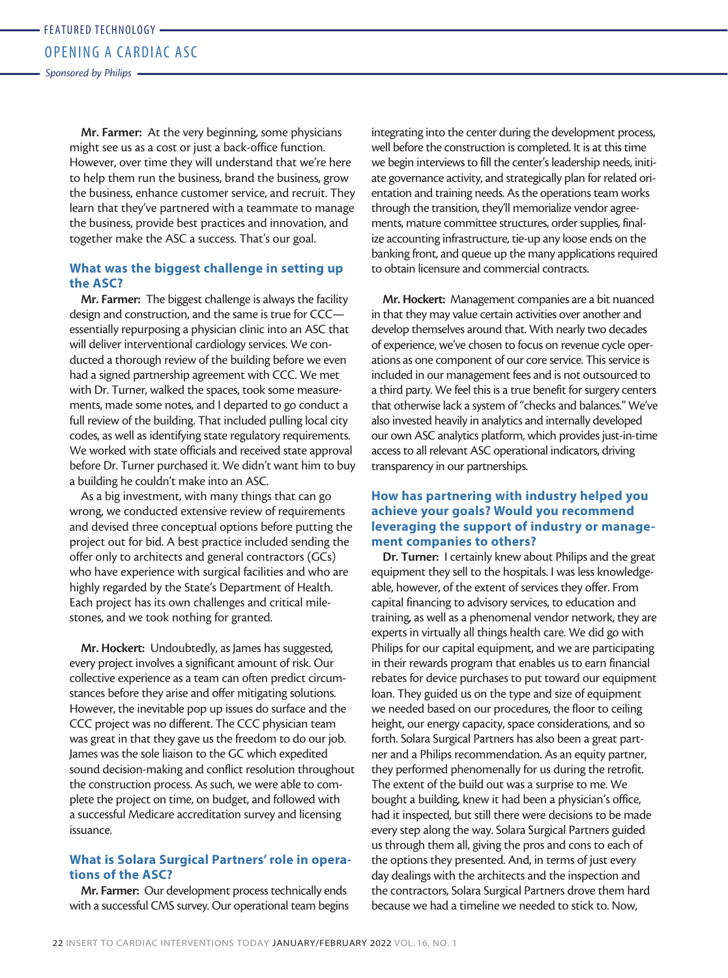*Sponsored by Philips*

**Mr. Farmer:** At the very beginning, some physicians might see us as a cost or just a back-office function. However, over time they will understand that we're here to help them run the business, brand the business, grow the business, enhance customer service, and recruit. They learn that they've partnered with a teammate to manage the business, provide best practices and innovation, and together make the ASC a success. That's our goal.

### **What was the biggest challenge in setting up the ASC?**

**Mr. Farmer:** The biggest challenge is always the facility design and construction, and the same is true for CCC essentially repurposing a physician clinic into an ASC that will deliver interventional cardiology services. We conducted a thorough review of the building before we even had a signed partnership agreement with CCC. We met with Dr. Turner, walked the spaces, took some measurements, made some notes, and I departed to go conduct a full review of the building. That included pulling local city codes, as well as identifying state regulatory requirements. We worked with state officials and received state approval before Dr. Turner purchased it. We didn't want him to buy a building he couldn't make into an ASC.

As a big investment, with many things that can go wrong, we conducted extensive review of requirements and devised three conceptual options before putting the project out for bid. A best practice included sending the offer only to architects and general contractors (GCs) who have experience with surgical facilities and who are highly regarded by the State's Department of Health. Each project has its own challenges and critical milestones, and we took nothing for granted.

**Mr. Hockert:** Undoubtedly, as James has suggested, every project involves a significant amount of risk. Our collective experience as a team can often predict circumstances before they arise and offer mitigating solutions. However, the inevitable pop up issues do surface and the CCC project was no different. The CCC physician team was great in that they gave us the freedom to do our job. James was the sole liaison to the GC which expedited sound decision-making and conflict resolution throughout the construction process. As such, we were able to complete the project on time, on budget, and followed with a successful Medicare accreditation survey and licensing issuance.

#### **What is Solara Surgical Partners' role in operations of the ASC?**

**Mr. Farmer:** Our development process technically ends with a successful CMS survey. Our operational team begins integrating into the center during the development process, well before the construction is completed. It is at this time we begin interviews to fill the center's leadership needs, initiate governance activity, and strategically plan for related orientation and training needs. As the operations team works through the transition, they'll memorialize vendor agreements, mature committee structures, order supplies, finalize accounting infrastructure, tie-up any loose ends on the banking front, and queue up the many applications required to obtain licensure and commercial contracts.

**Mr. Hockert:** Management companies are a bit nuanced in that they may value certain activities over another and develop themselves around that. With nearly two decades of experience, we've chosen to focus on revenue cycle operations as one component of our core service. This service is included in our management fees and is not outsourced to a third party. We feel this is a true benefit for surgery centers that otherwise lack a system of "checks and balances." We've also invested heavily in analytics and internally developed our own ASC analytics platform, which provides just-in-time access to all relevant ASC operational indicators, driving transparency in our partnerships.

## **How has partnering with industry helped you achieve your goals? Would you recommend leveraging the support of industry or management companies to others?**

**Dr. Turner:** I certainly knew about Philips and the great equipment they sell to the hospitals. I was less knowledgeable, however, of the extent of services they offer. From capital financing to advisory services, to education and training, as well as a phenomenal vendor network, they are experts in virtually all things health care. We did go with Philips for our capital equipment, and we are participating in their rewards program that enables us to earn financial rebates for device purchases to put toward our equipment loan. They guided us on the type and size of equipment we needed based on our procedures, the floor to ceiling height, our energy capacity, space considerations, and so forth. Solara Surgical Partners has also been a great partner and a Philips recommendation. As an equity partner, they performed phenomenally for us during the retrofit. The extent of the build out was a surprise to me. We bought a building, knew it had been a physician's office, had it inspected, but still there were decisions to be made every step along the way. Solara Surgical Partners guided us through them all, giving the pros and cons to each of the options they presented. And, in terms of just every day dealings with the architects and the inspection and the contractors, Solara Surgical Partners drove them hard because we had a timeline we needed to stick to. Now,